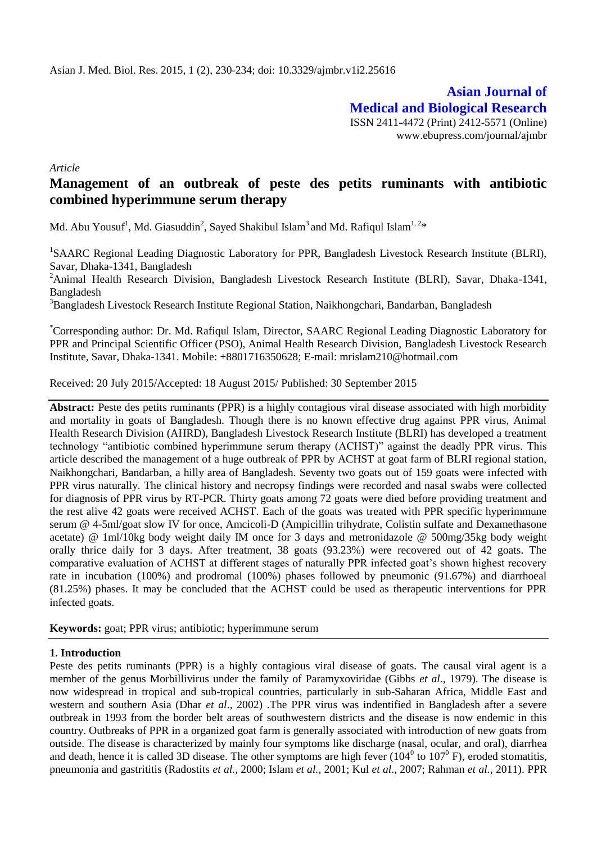**Asian Journal of Medical and Biological Research** ISSN 2411-4472 (Print) 2412-5571 (Online) www.ebupress.com/journal/ajmbr

*Article*

# **Management of an outbreak of peste des petits ruminants with antibiotic combined hyperimmune serum therapy**

Md. Abu Yousuf<sup>1</sup>, Md. Giasuddin<sup>2</sup>, Sayed Shakibul Islam<sup>3</sup> and Md. Rafiqul Islam<sup>1, 2</sup>\*

<sup>1</sup>SAARC Regional Leading Diagnostic Laboratory for PPR, Bangladesh Livestock Research Institute (BLRI), Savar, Dhaka-1341, Bangladesh

<sup>2</sup>Animal Health Research Division, Bangladesh Livestock Research Institute (BLRI), Savar, Dhaka-1341, Bangladesh

<sup>3</sup>Bangladesh Livestock Research Institute Regional Station, Naikhongchari, Bandarban, Bangladesh

\*Corresponding author: Dr. Md. Rafiqul Islam, Director, SAARC Regional Leading Diagnostic Laboratory for PPR and Principal Scientific Officer (PSO), Animal Health Research Division, Bangladesh Livestock Research Institute, Savar, Dhaka-1341. Mobile: +8801716350628; E-mail: [mrislam210@hotmail.com](mailto:mrislam210@hotmail.com)

Received: 20 July 2015/Accepted: 18 August 2015/ Published: 30 September 2015

Abstract: Peste des petits ruminants (PPR) is a highly contagious viral disease associated with high morbidity and mortality in goats of Bangladesh. Though there is no known effective drug against PPR virus, Animal Health Research Division (AHRD), Bangladesh Livestock Research Institute (BLRI) has developed a treatment technology "antibiotic combined hyperimmune serum therapy (ACHST)" against the deadly PPR virus. This article described the management of a huge outbreak of PPR by ACHST at goat farm of BLRI regional station, Naikhongchari, Bandarban, a hilly area of Bangladesh. Seventy two goats out of 159 goats were infected with PPR virus naturally. The clinical history and necropsy findings were recorded and nasal swabs were collected for diagnosis of PPR virus by RT-PCR. Thirty goats among 72 goats were died before providing treatment and the rest alive 42 goats were received ACHST. Each of the goats was treated with PPR specific hyperimmune serum @ 4-5ml/goat slow IV for once, Amcicoli-D (Ampicillin trihydrate, Colistin sulfate and Dexamethasone acetate) @ 1ml/10kg body weight daily IM once for 3 days and metronidazole @ 500mg/35kg body weight orally thrice daily for 3 days. After treatment, 38 goats (93.23%) were recovered out of 42 goats. The comparative evaluation of ACHST at different stages of naturally PPR infected goat's shown highest recovery rate in incubation (100%) and prodromal (100%) phases followed by pneumonic (91.67%) and diarrhoeal (81.25%) phases. It may be concluded that the ACHST could be used as therapeutic interventions for PPR infected goats.

**Keywords:** goat; PPR virus; antibiotic; hyperimmune serum

#### **1. Introduction**

Peste des petits ruminants (PPR) is a highly contagious viral disease of goats. The causal viral agent is a member of the genus Morbillivirus under the family of Paramyxoviridae (Gibbs *et al.,* 1979). The disease is now widespread in tropical and sub-tropical countries, particularly in sub-Saharan Africa, Middle East and western and southern Asia (Dhar *et al*., 2002) .The PPR virus was indentified in Bangladesh after a severe outbreak in 1993 from the border belt areas of southwestern districts and the disease is now endemic in this country. Outbreaks of PPR in a organized goat farm is generally associated with introduction of new goats from outside. The disease is characterized by mainly four symptoms like discharge (nasal, ocular, and oral), diarrhea and death, hence it is called 3D disease. The other symptoms are high fever  $(104^0 \text{ to } 107^0 \text{ F})$ , eroded stomatitis, pneumonia and gastrititis (Radostits *et al.,* 2000; Islam *et al.,* 2001; Kul *et al*., 2007; Rahman *et al.,* 2011). PPR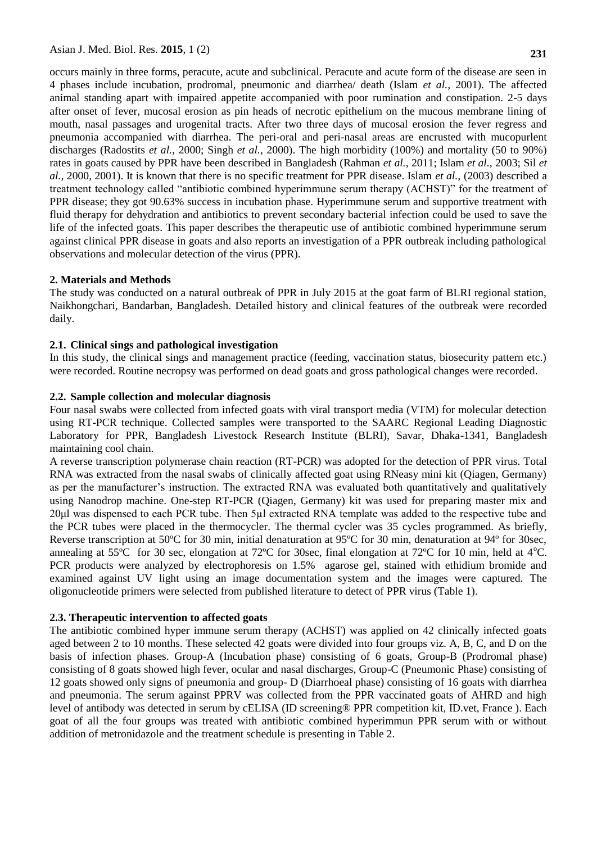occurs mainly in three forms, peracute, acute and subclinical. Peracute and acute form of the disease are seen in 4 phases include incubation, prodromal, pneumonic and diarrhea/ death (Islam *et al.,* 2001). The affected animal standing apart with impaired appetite accompanied with poor rumination and constipation. 2-5 days after onset of fever, mucosal erosion as pin heads of necrotic epithelium on the mucous membrane lining of mouth, nasal passages and urogenital tracts. After two three days of mucosal erosion the fever regress and pneumonia accompanied with diarrhea. The peri-oral and peri-nasal areas are encrusted with mucopurlent discharges (Radostits *et al.,* 2000; Singh *et al.,* 2000). The high morbidity (100%) and mortality (50 to 90%) rates in goats caused by PPR have been described in Bangladesh (Rahman *et al.,* 2011; Islam *et al.,* 2003; Sil *et al.,* 2000, 2001). It is known that there is no specific treatment for PPR disease. Islam *et al.,* (2003) described a treatment technology called "antibiotic combined hyperimmune serum therapy (ACHST)" for the treatment of PPR disease; they got 90.63% success in incubation phase. Hyperimmune serum and supportive treatment with fluid therapy for dehydration and antibiotics to prevent secondary bacterial infection could be used to save the life of the infected goats. This paper describes the therapeutic use of antibiotic combined hyperimmune serum against clinical PPR disease in goats and also reports an investigation of a PPR outbreak including pathological observations and molecular detection of the virus (PPR).

## **2. Materials and Methods**

The study was conducted on a natural outbreak of PPR in July 2015 at the goat farm of BLRI regional station, Naikhongchari, Bandarban, Bangladesh. Detailed history and clinical features of the outbreak were recorded daily.

## **2.1. Clinical sings and pathological investigation**

In this study, the clinical sings and management practice (feeding, vaccination status, biosecurity pattern etc.) were recorded. Routine necropsy was performed on dead goats and gross pathological changes were recorded.

## **2.2. Sample collection and molecular diagnosis**

Four nasal swabs were collected from infected goats with viral transport media (VTM) for molecular detection using RT-PCR technique. Collected samples were transported to the SAARC Regional Leading Diagnostic Laboratory for PPR, Bangladesh Livestock Research Institute (BLRI), Savar, Dhaka-1341, Bangladesh maintaining cool chain.

A reverse transcription polymerase chain reaction (RT-PCR) was adopted for the detection of PPR virus. Total RNA was extracted from the nasal swabs of clinically affected goat using RNeasy mini kit (Qiagen, Germany) as per the manufacturer's instruction. The extracted RNA was evaluated both quantitatively and qualitatively using Nanodrop machine. One-step RT-PCR (Qiagen, Germany) kit was used for preparing master mix and 20μl was dispensed to each PCR tube. Then 5µl extracted RNA template was added to the respective tube and the PCR tubes were placed in the thermocycler. The thermal cycler was 35 cycles programmed. As briefly, Reverse transcription at 50ºC for 30 min, initial denaturation at 95ºC for 30 min, denaturation at 94º for 30sec, annealing at 55°C for 30 sec, elongation at 72°C for 30 sec, final elongation at 72°C for 10 min, held at 4°C. PCR products were analyzed by electrophoresis on 1.5% agarose gel, stained with ethidium bromide and examined against UV light using an image documentation system and the images were captured. The oligonucleotide primers were selected from published literature to detect of PPR virus (Table 1).

# **2.3. Therapeutic intervention to affected goats**

The antibiotic combined hyper immune serum therapy (ACHST) was applied on 42 clinically infected goats aged between 2 to 10 months. These selected 42 goats were divided into four groups viz. A, B, C, and D on the basis of infection phases. Group-A (Incubation phase) consisting of 6 goats, Group-B (Prodromal phase) consisting of 8 goats showed high fever, ocular and nasal discharges, Group-C (Pneumonic Phase) consisting of 12 goats showed only signs of pneumonia and group- D (Diarrhoeal phase) consisting of 16 goats with diarrhea and pneumonia. The serum against PPRV was collected from the PPR vaccinated goats of AHRD and high level of antibody was detected in serum by cELISA (ID screening® PPR competition kit, ID.vet, France ). Each goat of all the four groups was treated with antibiotic combined hyperimmun PPR serum with or without addition of metronidazole and the treatment schedule is presenting in Table 2.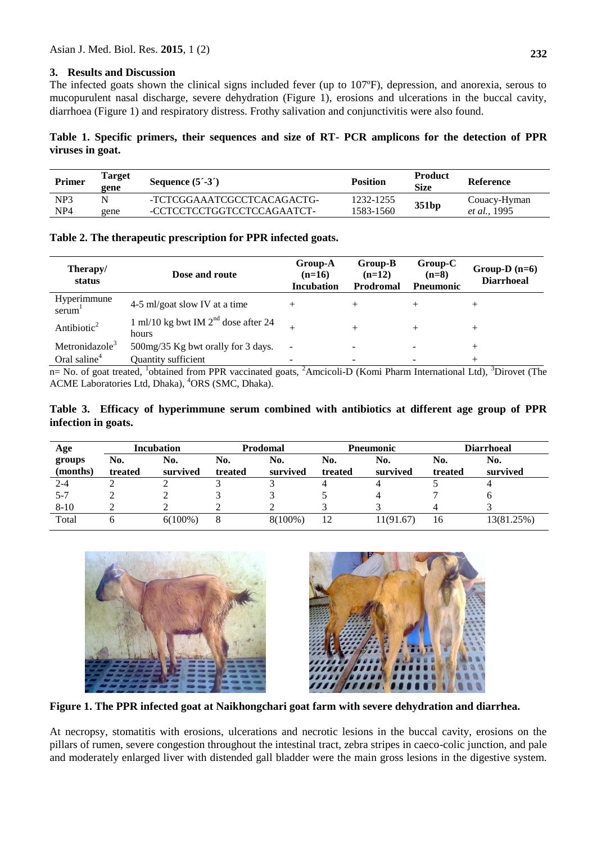## **3. Results and Discussion**

The infected goats shown the clinical signs included fever (up to 107ºF), depression, and anorexia, serous to mucopurulent nasal discharge, severe dehydration (Figure 1), erosions and ulcerations in the buccal cavity, diarrhoea (Figure 1) and respiratory distress. Frothy salivation and conjunctivitis were also found.

## **Table 1. Specific primers, their sequences and size of RT- PCR amplicons for the detection of PPR viruses in goat.**

| Primer          | <b>Target</b><br>gene | Sequence $(5^{\prime} - 3^{\prime})$ | <b>Position</b> | <b>Product</b><br><b>Size</b> | <b>Reference</b> |
|-----------------|-----------------------|--------------------------------------|-----------------|-------------------------------|------------------|
| NP <sub>3</sub> |                       | -TCTCGGAAATCGCCTCACAGACTG-           | 1232-1255       | 351 <sub>bp</sub>             | Couacy-Hyman     |
| NP4             | gene                  | -CCTCCTCCTGGTCCTCCAGAATCT-           | 1583-1560       |                               | et al., 1995     |

#### **Table 2. The therapeutic prescription for PPR infected goats.**

| Therapy/<br>status         | Dose and route                                 | <b>Group-A</b><br>$(n=16)$<br><b>Incubation</b> | Group-B<br>$(n=12)$<br><b>Prodromal</b> | $Group-C$<br>$(n=8)$<br><b>P</b> neumonic | Group-D $(n=6)$<br><b>Diarrhoeal</b> |
|----------------------------|------------------------------------------------|-------------------------------------------------|-----------------------------------------|-------------------------------------------|--------------------------------------|
| Hyperimmune<br>serum       | 4-5 ml/goat slow IV at a time                  |                                                 |                                         |                                           | +                                    |
| Antibiotic <sup>2</sup>    | 1 ml/10 kg bwt IM $2nd$ dose after 24<br>hours | $^+$                                            |                                         |                                           | $^+$                                 |
| Metronidazole <sup>3</sup> | 500mg/35 Kg bwt orally for 3 days.             | $\sim$                                          |                                         |                                           | $^+$                                 |
| Oral saline <sup>4</sup>   | Quantity sufficient                            | $\overline{\phantom{0}}$                        |                                         |                                           |                                      |

n= No. of goat treated, <sup>1</sup>obtained from PPR vaccinated goats, <sup>2</sup>Amcicoli-D (Komi Pharm International Ltd), <sup>3</sup>Dirovet (The ACME Laboratories Ltd, Dhaka), <sup>4</sup>ORS (SMC, Dhaka).

## **Table 3. Efficacy of hyperimmune serum combined with antibiotics at different age group of PPR infection in goats.**

| Age                | <b>Incubation</b> |                 | <b>Prodomal</b> |                 | <b>Pneumonic</b> |                 | <b>Diarrhoeal</b> |                 |
|--------------------|-------------------|-----------------|-----------------|-----------------|------------------|-----------------|-------------------|-----------------|
| groups<br>(months) | No.<br>treated    | No.<br>survived | No.<br>treated  | No.<br>survived | No.<br>treated   | No.<br>survived | No.<br>treated    | No.<br>survived |
| $2 - 4$            |                   |                 |                 |                 |                  |                 |                   | 4               |
| $5 - 7$            |                   |                 |                 |                 |                  |                 |                   | <sub>0</sub>    |
| $8 - 10$           |                   |                 |                 |                 |                  |                 |                   |                 |
| Total              |                   | $6(100\%)$      | 8               | 8(100%)         | 12               | 11(91.67)       | 16                | 13(81.25%)      |





**Figure 1. The PPR infected goat at Naikhongchari goat farm with severe dehydration and diarrhea.**

At necropsy, stomatitis with erosions, ulcerations and necrotic lesions in the buccal cavity, erosions on the pillars of rumen, severe congestion throughout the intestinal tract, zebra stripes in caeco-colic junction, and pale and moderately enlarged liver with distended gall bladder were the main gross lesions in the digestive system.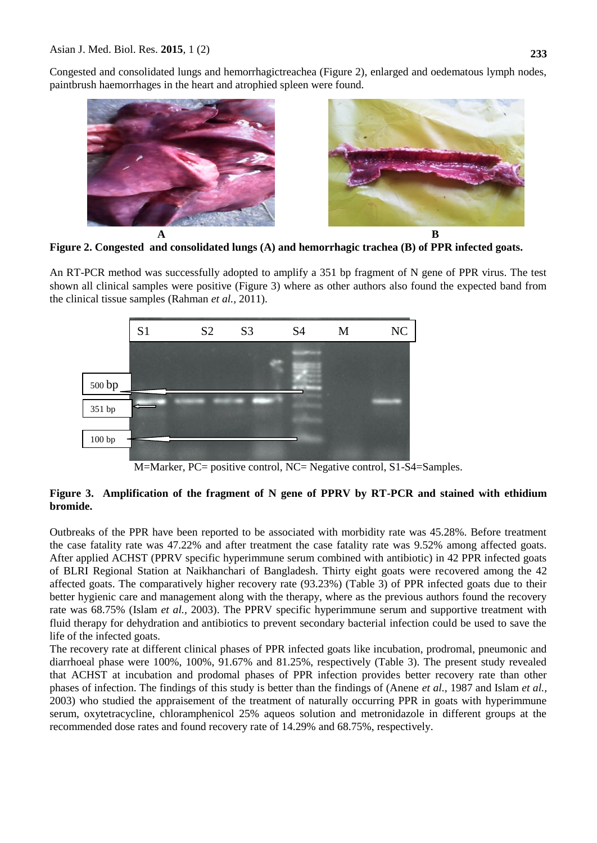Congested and consolidated lungs and hemorrhagictreachea (Figure 2), enlarged and oedematous lymph nodes, paintbrush haemorrhages in the heart and atrophied spleen were found.





**Figure 2. Congested and consolidated lungs (A) and hemorrhagic trachea (B) of PPR infected goats.**

An RT-PCR method was successfully adopted to amplify a 351 bp fragment of N gene of PPR virus. The test shown all clinical samples were positive (Figure 3) where as other authors also found the expected band from the clinical tissue samples (Rahman *et al.,* 2011).



M=Marker, PC= positive control, NC= Negative control, S1-S4=Samples.

# **Figure 3. Amplification of the fragment of N gene of PPRV by RT-PCR and stained with ethidium bromide.**

Outbreaks of the PPR have been reported to be associated with morbidity rate was 45.28%. Before treatment the case fatality rate was 47.22% and after treatment the case fatality rate was 9.52% among affected goats. After applied ACHST (PPRV specific hyperimmune serum combined with antibiotic) in 42 PPR infected goats of BLRI Regional Station at Naikhanchari of Bangladesh. Thirty eight goats were recovered among the 42 affected goats. The comparatively higher recovery rate (93.23%) (Table 3) of PPR infected goats due to their better hygienic care and management along with the therapy, where as the previous authors found the recovery rate was 68.75% (Islam *et al.,* 2003). The PPRV specific hyperimmune serum and supportive treatment with fluid therapy for dehydration and antibiotics to prevent secondary bacterial infection could be used to save the life of the infected goats.

The recovery rate at different clinical phases of PPR infected goats like incubation, prodromal, pneumonic and diarrhoeal phase were 100%, 100%, 91.67% and 81.25%, respectively (Table 3). The present study revealed that ACHST at incubation and prodomal phases of PPR infection provides better recovery rate than other phases of infection. The findings of this study is better than the findings of (Anene *et al.,* 1987 and Islam *et al.,* 2003) who studied the appraisement of the treatment of naturally occurring PPR in goats with hyperimmune serum, oxytetracycline, chloramphenicol 25% aqueos solution and metronidazole in different groups at the recommended dose rates and found recovery rate of 14.29% and 68.75%, respectively.